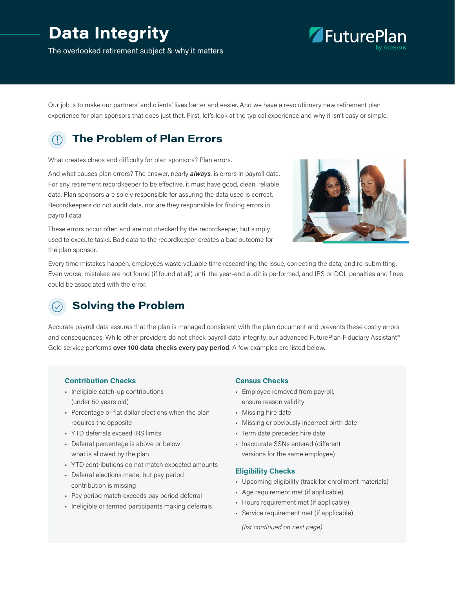# **Data Integrity**

The overlooked retirement subject & why it matters



Our job is to make our partners' and clients' lives better and easier. And we have a revolutionary new retirement plan experience for plan sponsors that does just that. First, let's look at the typical experience and why it isn't easy or simple.

## **The Problem of Plan Errors**

What creates chaos and difficulty for plan sponsors? Plan errors.

And what causes plan errors? The answer, nearly *always*, is errors in payroll data. For any retirement recordkeeper to be effective, it must have good, clean, reliable data. Plan sponsors are solely responsible for assuring the data used is correct. Recordkeepers do not audit data, nor are they responsible for finding errors in payroll data.

These errors occur often and are not checked by the recordkeeper, but simply used to execute tasks. Bad data to the recordkeeper creates a bad outcome for the plan sponsor.



Every time mistakes happen, employees waste valuable time researching the issue, correcting the data, and re-submitting. Even worse, mistakes are not found (if found at all) until the year-end audit is performed, and IRS or DOL penalties and fines could be associated with the error.

### **Solving the Problem**

Accurate payroll data assures that the plan is managed consistent with the plan document and prevents these costly errors and consequences. While other providers do not check payroll data integrity, our advanced FuturePlan Fiduciary Assistant® Gold service performs **over 100 data checks every pay period**. A few examples are listed below.

#### **Contribution Checks**

- Ineligible catch-up contributions (under 50 years old)
- Percentage or flat dollar elections when the plan requires the opposite
- YTD deferrals exceed IRS limits
- Deferral percentage is above or below what is allowed by the plan
- YTD contributions do not match expected amounts
- Deferral elections made, but pay period contribution is missing
- Pay period match exceeds pay period deferral
- Ineligible or termed participants making deferrals

#### **Census Checks**

- Employee removed from payroll, ensure reason validity
- Missing hire date
- Missing or obviously incorrect birth date
- Term date precedes hire date
- Inaccurate SSNs entered (different versions for the same employee)

#### **Eligibility Checks**

- Upcoming eligibility (track for enrollment materials)
- Age requirement met (if applicable)
- Hours requirement met (if applicable)
- Service requirement met (if applicable)

*(list continued on next page)*